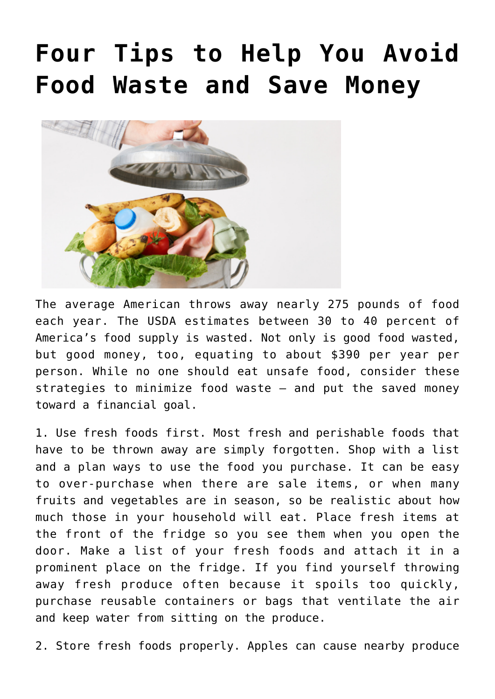## **[Four Tips to Help You Avoid](https://livewellutah.org/2021/04/23/four-tips-to-help-you-avoid-food-waste-and-save-money/) [Food Waste and Save Money](https://livewellutah.org/2021/04/23/four-tips-to-help-you-avoid-food-waste-and-save-money/)**



The average American throws away nearly 275 pounds of food each year. The USDA estimates between 30 to 40 percent of America's food supply is wasted. Not only is good food wasted, but good money, too, equating to about \$390 per year per person. While no one should eat unsafe food, consider these strategies to minimize food waste – and put the saved money toward a financial goal.

1. Use fresh foods first. Most fresh and perishable foods that have to be thrown away are simply forgotten. Shop with a list and a plan ways to use the food you purchase. It can be easy to over-purchase when there are sale items, or when many fruits and vegetables are in season, so be realistic about how much those in your household will eat. Place fresh items at the front of the fridge so you see them when you open the door. Make a list of your fresh foods and attach it in a prominent place on the fridge. If you find yourself throwing away fresh produce often because it spoils too quickly, purchase reusable containers or bags that ventilate the air and keep water from sitting on the produce.

2. Store fresh foods properly. Apples can cause nearby produce